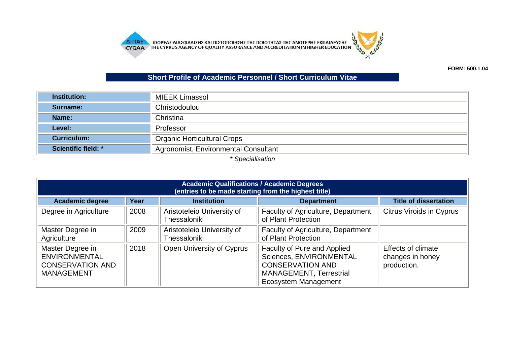**AIFIAE OOPEAE AIAE DATA AND EXAMPLE AND ACCREDITATION IN HIGHER ENTIAL AND THE CYPRUS AGENCY OF QUALITY ASSURANCE AND ACCREDITATION IN HIGHER EDUCATION** 



## **Short Profile of Academic Personnel / Short Curriculum Vitae**

|                            | <b>MIEEK Limassol</b>                |
|----------------------------|--------------------------------------|
| Surname:                   | Christodoulou                        |
| Name:                      | Christina                            |
| Level:                     | Professor                            |
| <b>Curriculum:</b>         | <b>Organic Horticultural Crops</b>   |
| <b>Scientific field: *</b> | Agronomist, Environmental Consultant |

*\* Specialisation*

| <b>Academic Qualifications / Academic Degrees</b><br>(entries to be made starting from the highest title) |      |                                            |                                                                                                                                             |                                                              |  |  |  |
|-----------------------------------------------------------------------------------------------------------|------|--------------------------------------------|---------------------------------------------------------------------------------------------------------------------------------------------|--------------------------------------------------------------|--|--|--|
| <b>Academic degree</b>                                                                                    | Year | <b>Institution</b>                         | <b>Department</b>                                                                                                                           | <b>Title of dissertation</b>                                 |  |  |  |
| Degree in Agriculture                                                                                     | 2008 | Aristoteleio University of<br>Thessaloniki | <b>Faculty of Agriculture, Department</b><br>of Plant Protection                                                                            | <b>Citrus Viroids in Cyprus</b>                              |  |  |  |
| Master Degree in<br>Agriculture                                                                           | 2009 | Aristoteleio University of<br>Thessaloniki | <b>Faculty of Agriculture, Department</b><br>of Plant Protection                                                                            |                                                              |  |  |  |
| Master Degree in<br><b>ENVIRONMENTAL</b><br><b>CONSERVATION AND</b><br><b>MANAGEMENT</b>                  | 2018 | Open University of Cyprus                  | Faculty of Pure and Applied<br>Sciences, ENVIRONMENTAL<br><b>CONSERVATION AND</b><br><b>MANAGEMENT, Terrestrial</b><br>Ecosystem Management | <b>Effects of climate</b><br>changes in honey<br>production. |  |  |  |